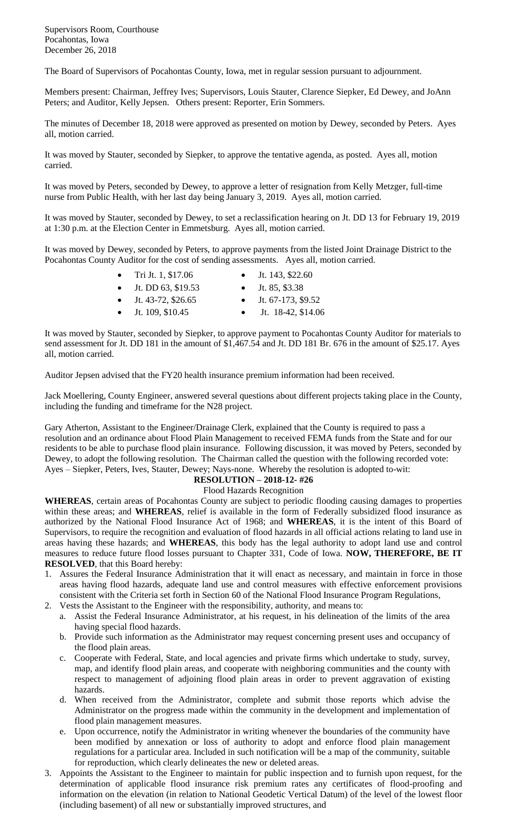Supervisors Room, Courthouse Pocahontas, Iowa December 26, 2018

The Board of Supervisors of Pocahontas County, Iowa, met in regular session pursuant to adjournment.

Members present: Chairman, Jeffrey Ives; Supervisors, Louis Stauter, Clarence Siepker, Ed Dewey, and JoAnn Peters; and Auditor, Kelly Jepsen. Others present: Reporter, Erin Sommers.

The minutes of December 18, 2018 were approved as presented on motion by Dewey, seconded by Peters. Ayes all, motion carried.

It was moved by Stauter, seconded by Siepker, to approve the tentative agenda, as posted. Ayes all, motion carried.

It was moved by Peters, seconded by Dewey, to approve a letter of resignation from Kelly Metzger, full-time nurse from Public Health, with her last day being January 3, 2019. Ayes all, motion carried.

It was moved by Stauter, seconded by Dewey, to set a reclassification hearing on Jt. DD 13 for February 19, 2019 at 1:30 p.m. at the Election Center in Emmetsburg. Ayes all, motion carried.

It was moved by Dewey, seconded by Peters, to approve payments from the listed Joint Drainage District to the Pocahontas County Auditor for the cost of sending assessments. Ayes all, motion carried.

| • Tri Jt. 1, $$17.06$ | • Jt. 143, \$22.60      |
|-----------------------|-------------------------|
| • Jt. DD 63, $$19.53$ | • Jt. 85, \$3.38        |
| • Jt. 43-72, \$26.65  | • Jt. $67-173$ , \$9.52 |
| • Jt. 109, \$10.45    | Jt. 18-42, \$14.06      |

It was moved by Stauter, seconded by Siepker, to approve payment to Pocahontas County Auditor for materials to send assessment for Jt. DD 181 in the amount of \$1,467.54 and Jt. DD 181 Br. 676 in the amount of \$25.17. Ayes all, motion carried.

Auditor Jepsen advised that the FY20 health insurance premium information had been received.

Jack Moellering, County Engineer, answered several questions about different projects taking place in the County, including the funding and timeframe for the N28 project.

Gary Atherton, Assistant to the Engineer/Drainage Clerk, explained that the County is required to pass a resolution and an ordinance about Flood Plain Management to received FEMA funds from the State and for our residents to be able to purchase flood plain insurance. Following discussion, it was moved by Peters, seconded by Dewey, to adopt the following resolution. The Chairman called the question with the following recorded vote: Ayes – Siepker, Peters, Ives, Stauter, Dewey; Nays-none. Whereby the resolution is adopted to-wit:

## **RESOLUTION – 2018-12- #26**

## Flood Hazards Recognition

**WHEREAS**, certain areas of Pocahontas County are subject to periodic flooding causing damages to properties within these areas; and **WHEREAS**, relief is available in the form of Federally subsidized flood insurance as authorized by the National Flood Insurance Act of 1968; and **WHEREAS**, it is the intent of this Board of Supervisors, to require the recognition and evaluation of flood hazards in all official actions relating to land use in areas having these hazards; and **WHEREAS**, this body has the legal authority to adopt land use and control measures to reduce future flood losses pursuant to Chapter 331, Code of Iowa. **NOW, THEREFORE, BE IT RESOLVED**, that this Board hereby:

- 1. Assures the Federal Insurance Administration that it will enact as necessary, and maintain in force in those areas having flood hazards, adequate land use and control measures with effective enforcement provisions consistent with the Criteria set forth in Section 60 of the National Flood Insurance Program Regulations,
- 2. Vests the Assistant to the Engineer with the responsibility, authority, and means to:
	- a. Assist the Federal Insurance Administrator, at his request, in his delineation of the limits of the area having special flood hazards.
	- b. Provide such information as the Administrator may request concerning present uses and occupancy of the flood plain areas.
	- c. Cooperate with Federal, State, and local agencies and private firms which undertake to study, survey, map, and identify flood plain areas, and cooperate with neighboring communities and the county with respect to management of adjoining flood plain areas in order to prevent aggravation of existing hazards.
	- d. When received from the Administrator, complete and submit those reports which advise the Administrator on the progress made within the community in the development and implementation of flood plain management measures.
	- e. Upon occurrence, notify the Administrator in writing whenever the boundaries of the community have been modified by annexation or loss of authority to adopt and enforce flood plain management regulations for a particular area. Included in such notification will be a map of the community, suitable for reproduction, which clearly delineates the new or deleted areas.
- 3. Appoints the Assistant to the Engineer to maintain for public inspection and to furnish upon request, for the determination of applicable flood insurance risk premium rates any certificates of flood-proofing and information on the elevation (in relation to National Geodetic Vertical Datum) of the level of the lowest floor (including basement) of all new or substantially improved structures, and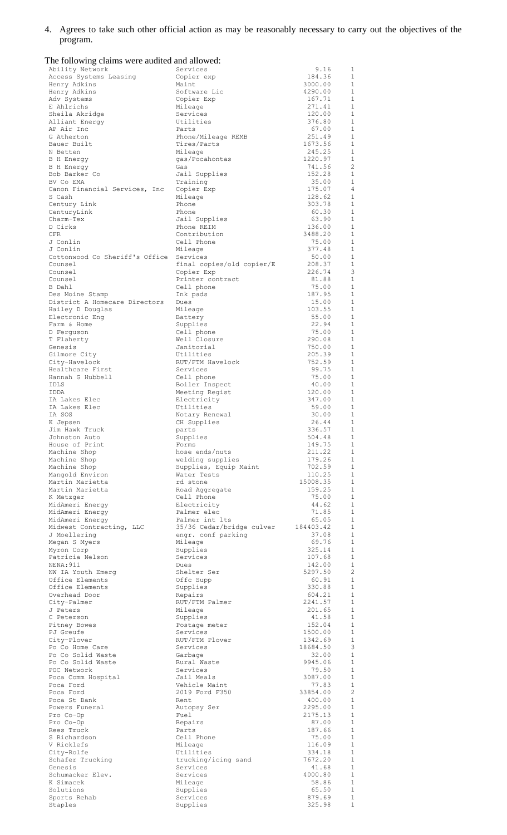4. Agrees to take such other official action as may be reasonably necessary to carry out the objectives of the program.

| The following claims were audited and allowed: |                                   |                    |                              |
|------------------------------------------------|-----------------------------------|--------------------|------------------------------|
| Ability Network                                | Services                          | 9.16               | 1                            |
| Access Systems Leasing<br>Henry Adkins         | Copier exp<br>Maint               | 184.36<br>3000.00  | $\mathbf{1}$<br>$\mathbf{1}$ |
| Henry Adkins                                   | Software Lic                      | 4290.00            | 1                            |
| Adv Systems                                    | Copier Exp                        | 167.71             | $\mathbf{1}$                 |
| E Ahlrichs                                     | Mileage                           | 271.41             | $\mathbf{1}$                 |
| Sheila Akridge                                 | Services                          | 120.00             | $\mathbf{1}$                 |
| Alliant Energy                                 | Utilities                         | 376.80             | $\mathbf{1}$                 |
| AP Air Inc                                     | Parts                             | 67.00              | $\mathbf{1}$                 |
| G Atherton<br>Bauer Built                      | Phone/Mileage REMB<br>Tires/Parts | 251.49<br>1673.56  | $\mathbf{1}$<br>$\mathbf{1}$ |
| N Betten                                       | Mileage                           | 245.25             | $\mathbf{1}$                 |
| <b>B</b> H Energy                              | qas/Pocahontas                    | 1220.97            | $\mathbf{1}$                 |
| B H Energy                                     | Gas                               | 741.56             | $\overline{c}$               |
| Bob Barker Co                                  | Jail Supplies                     | 152.28             | $\mathbf{1}$                 |
| BV Co EMA                                      | Training                          | 35.00              | $\mathbf{1}$                 |
| Canon Financial Services, Inc                  | Copier Exp                        | 175.07             | $\overline{4}$               |
| S Cash                                         | Mileage                           | 128.62             | $\mathbf{1}$                 |
| Century Link                                   | Phone                             | 303.78             | $\mathbf{1}$<br>$\mathbf{1}$ |
| CenturyLink<br>Charm-Tex                       | Phone<br>Jail Supplies            | 60.30<br>63.90     | $\mathbf{1}$                 |
| D Cirks                                        | Phone REIM                        | 136.00             | $\mathbf{1}$                 |
| CFR                                            | Contribution                      | 3488.20            | $\mathbf{1}$                 |
| J Conlin                                       | Cell Phone                        | 75.00              | $\mathbf{1}$                 |
| J Conlin                                       | Mileage                           | 377.48             | $\mathbf{1}$                 |
| Cottonwood Co Sheriff's Office                 | Services                          | 50.00              | $\mathbf{1}$                 |
| Counsel                                        | final copies/old copier/E         | 208.37             | $1\,$                        |
| Counsel<br>Counsel                             | Copier Exp<br>Printer contract    | 226.74<br>81.88    | 3<br>$\mathbf{1}$            |
| B Dahl                                         | Cell phone                        | 75.00              | $\mathbf{1}$                 |
| Des Moine Stamp                                | Ink pads                          | 187.95             | $\mathbf{1}$                 |
| District A Homecare Directors                  | Dues                              | 15.00              | 1                            |
| Hailey D Douglas                               | Mileage                           | 103.55             | 1                            |
| Electronic Eng                                 | Battery                           | 55.00              | $\mathbf{1}$                 |
| Farm & Home                                    | Supplies                          | 22.94              | 1                            |
| D Ferguson                                     | Cell phone                        | 75.00              | $\mathbf{1}$                 |
| T Flaherty                                     | Well Closure<br>Janitorial        | 290.08             | $\mathbf{1}$<br>$\mathbf{1}$ |
| Genesis<br>Gilmore City                        | Utilities                         | 750.00<br>205.39   | $\mathbf{1}$                 |
| City-Havelock                                  | RUT/FTM Havelock                  | 752.59             | $\mathbf{1}$                 |
| Healthcare First                               | Services                          | 99.75              | 1                            |
| Hannah G Hubbell                               | Cell phone                        | 75.00              | $\mathbf{1}$                 |
| <b>IDLS</b>                                    | Boiler Inspect                    | 40.00              | $\mathbf{1}$                 |
| IDDA                                           | Meeting Regist                    | 120.00             | $\mathbf{1}$                 |
| IA Lakes Elec                                  | Electricity                       | 347.00             | 1                            |
| IA Lakes Elec<br>IA SOS                        | Utilities<br>Notary Renewal       | 59.00<br>30.00     | <sup>1</sup><br>1            |
| K Jepsen                                       | CH Supplies                       | 26.44              | $\mathbf{1}$                 |
| Jim Hawk Truck                                 | parts                             | 336.57             | 1                            |
| Johnston Auto                                  | Supplies                          | 504.48             | 1                            |
| House of Print                                 | Forms                             | 149.75             | 1                            |
| Machine Shop                                   | hose ends/nuts                    | 211.22             | $\mathbf{1}$                 |
| Machine Shop                                   | welding supplies                  | 179.26             | $\mathbf{1}$                 |
| Machine Shop                                   | Supplies, Equip Maint             | 702.59             | $\mathbf{1}$                 |
| Mangold Environ<br>Martin Marietta             | Water Tests<br>rd stone           | 110.25<br>15008.35 | 1<br>$\mathbf{1}$            |
| Martin Marietta                                | Road Aggregate                    | 159.25             | 1                            |
| K Metzger                                      | Cell Phone                        | 75.00              | 1                            |
| MidAmeri Energy                                | Electricity                       | 44.62              | 1                            |
| MidAmeri Energy                                | Palmer elec                       | 71.85              | $\mathbf{1}$                 |
| MidAmeri Energy                                | Palmer int lts                    | 65.05              | $\mathbf{1}$                 |
| Midwest Contracting, LLC                       | 35/36 Cedar/bridge culver         | 184403.42          | $\mathbf{1}$                 |
| J Moellering                                   | engr. conf parking                | 37.08<br>69.76     | $\mathbf{1}$<br>$\mathbf{1}$ |
| Megan S Myers<br>Myron Corp                    | Mileage<br>Supplies               | 325.14             | $\mathbf{1}$                 |
| Patricia Nelson                                | Services                          | 107.68             | $\mathbf{1}$                 |
| NENA: 911                                      | Dues                              | 142.00             | $\mathbf{1}$                 |
| NW IA Youth Emerg                              | Shelter Ser                       | 5297.50            | 2                            |
| Office Elements                                | Offc Supp                         | 60.91              | $\mathbf{1}$                 |
| Office Elements                                | Supplies                          | 330.88             | $\mathbf{1}$                 |
| Overhead Door                                  | Repairs                           | 604.21             | $\mathbf{1}$                 |
| City-Palmer                                    | RUT/FTM Palmer                    | 2241.57            | $\mathbf{1}$<br>$\mathbf{1}$ |
| J Peters<br>C Peterson                         | Mileage<br>Supplies               | 201.65<br>41.58    | $\mathbf{1}$                 |
| Pitney Bowes                                   | Postage meter                     | 152.04             | $\mathbf{1}$                 |
| PJ Greufe                                      | Services                          | 1500.00            | $\mathbf{1}$                 |
| City-Plover                                    | RUT/FTM Plover                    | 1342.69            | $\mathbf{1}$                 |
| Po Co Home Care                                | Services                          | 18684.50           | 3                            |
| Po Co Solid Waste                              | Garbage                           | 32.00              | $\mathbf{1}$                 |
| Po Co Solid Waste<br>POC Network               | Rural Waste<br>Services           | 9945.06<br>79.50   | $\mathbf{1}$<br>1            |
| Poca Comm Hospital                             | Jail Meals                        | 3087.00            | $\mathbf{1}$                 |
| Poca Ford                                      | Vehicle Maint                     | 77.83              | $\mathbf{1}$                 |
| Poca Ford                                      | 2019 Ford F350                    | 33854.00           | 2                            |
| Poca St Bank                                   | Rent                              | 400.00             | $\mathbf{1}$                 |
| Powers Funeral                                 | Autopsy Ser                       | 2295.00            | $\mathbf{1}$                 |
| Pro Co-Op                                      | Fuel                              | 2175.13            | $\mathbf{1}$                 |
| Pro Co-Op<br>Rees Truck                        | Repairs<br>Parts                  | 87.00<br>187.66    | $\mathbf{1}$<br>$\mathbf{1}$ |
| S Richardson                                   | Cell Phone                        | 75.00              | $\mathbf{1}$                 |
| V Ricklefs                                     | Mileage                           | 116.09             | $\mathbf{1}$                 |
| City-Rolfe                                     | Utilities                         | 334.18             | 1                            |
| Schafer Trucking                               | trucking/icing sand               | 7672.20            | $\mathbf{1}$                 |
| Genesis                                        | Services                          | 41.68              | <sup>1</sup>                 |
| Schumacker Elev.                               | Services                          | 4000.80            | 1                            |
| K Simacek<br>Solutions                         | Mileage<br>Supplies               | 58.86<br>65.50     | 1<br>$\mathbf{1}$            |
| Sports Rehab                                   | Services                          | 879.69             | $\mathbf{1}$                 |
| Staples                                        | Supplies                          | 325.98             | $\mathbf 1$                  |